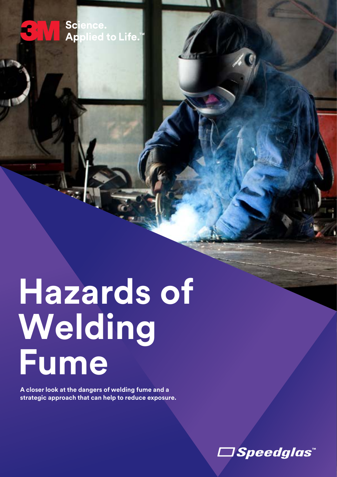**Hazards of Welding Fume**

**A closer look at the dangers of welding fume and a strategic approach that can help to reduce exposure.** 

1*Speedglas*™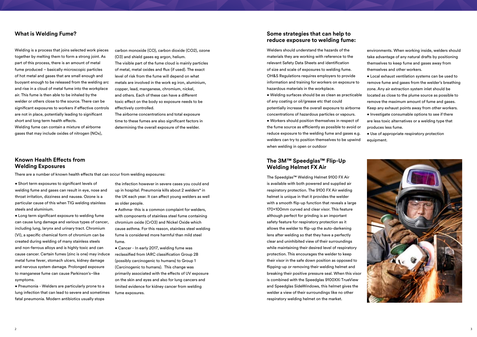Welding is a process that joins selected work pieces together by melting them to form a strong joint. As part of this process, there is an amount of metal fume produced – basically microscopic particles of hot metal and gases that are small enough and buoyant enough to be released from the welding arc and rise in a cloud of metal fume into the workplace air. This fume is then able to be inhaled by the welder or others close to the source. There can be significant exposures to workers if effective controls are not in place, potentially leading to significant short and long term health effects.

Welding fume can contain a mixture of airborne gases that may include oxides of nitrogen (NOx), carbon monoxide (CO), carbon dioxide (CO2), ozone (O3) and shield gases eg argon, helium. The visible part of the fume cloud is mainly particles of metal, metal oxides and flux (if used). The exact level of risk from the fume will depend on what metals are involved in the work eg iron, aluminium, copper, lead, manganese, chromium, nickel, and others. Each of these can have a different toxic effect on the body so exposure needs to be effectively controlled.

The airborne concentrations and total exposure time to these fumes are also significant factors in determining the overall exposure of the welder.

## **What is Welding Fume?**

• Short term exposures to significant levels of welding fume and gases can result in eye, nose and throat irritation, dizziness and nausea. Ozone is a particular cause of this when TIG welding stainless steels and aluminium.

• Long term significant exposure to welding fume can cause lung damage and various types of cancer, including lung, larynx and urinary tract. Chromium (VI), a specific chemical form of chromium can be created during welding of many stainless steels and non-ferrous alloys and is highly toxic and can cause cancer. Certain fumes (zinc is one) may induce metal fume fever, stomach ulcers, kidney damage and nervous system damage. Prolonged exposure to manganese fume can cause Parkinson's–like symptoms.

• Pneumonia - Welders are particularly prone to a lung infection that can lead to severe and sometimes fatal pneumonia. Modern antibiotics usually stops

the infection however in severe cases you could end up in hospital. Pneumonia kills about 2 welders\* in the UK each year. It can affect young welders as well as older people.

• Asthma- this is a common complaint for welders, with components of stainless steel fume containing chromium oxide (CrO3) and Nickel Oxide which cause asthma. For this reason, stainless steel welding fume is considered more harmful than mild steel fume.

• Cancer - In early 2017, welding fume was reclassified from IARC classification Group 2B (possibly carcinogenic to humans) to Group 1 (Carcinogenic to humans). This change was primarily associated with the effects of UV exposure on the skin and eyes and also for lung cancers and limited evidence for kidney cancer from welding fume exposures.

# **Known Health Effects from Welding Exposures**

The Speedglas™ Welding Helmet 9100 FX Air is available with both powered and supplied air respiratory protection. The 9100 FX Air welding helmet is unique in that it provides the welder with a smooth flip-up function that reveals a large 170x100mm curved and clear visor. This feature although perfect for grinding is an important safety feature for respiratory protection as it allows the welder to flip-up the auto-darkening lens after welding so that they have a perfectly clear and uninhibited view of their surroundings while maintaining their desired level of respiratory protection. This encourages the welder to keep their visor in the safe down position as opposed to flipping-up or removing their welding helmet and breaking their positive pressure seal. When this visor is combined with the Speedglas 9100XXi TrueView and Speedglas SideWindows, this helmet gives the welder a view of their surroundings like no other respiratory welding helmet on the market.

# **The 3M™ Speedglas™ Flip-Up Welding Helmet FX Air**

Welders should understand the hazards of the materials they are working with reference to the relevant Safety Data Sheets and identification of size and scale of exposures to welding fume. OH&S Regulations requires employers to provide information and training for workers on exposure to hazardous materials in the workplace.

• Welding surfaces should be as clean as practicable of any coating or oil/grease etc that could potentially increase the overall exposure to airborne concentrations of hazardous particles or vapours.

• Workers should position themselves in respect of the fume source as efficiently as possible to avoid or reduce exposure to the welding fume and gases e.g. welders can try to position themselves to be upwind when welding in open or outdoor

environments. When working inside, welders should take advantage of any natural drafts by positioning themselves to keep fume and gases away from themselves and other workers.

• Local exhaust ventilation systems can be used to remove fume and gases from the welder's breathing zone. Any air extraction system inlet should be located as close to the plume source as possible to

remove the maximum amount of fume and gases. Keep any exhaust points away from other workers. • Investigate consumable options to see if there

are less toxic alternatives or a welding type that produces less fume.

• Use of appropriate respiratory protection equipment.



# **Some strategies that can help to reduce exposure to welding fume:**

There are a number of known health effects that can occur from welding exposures: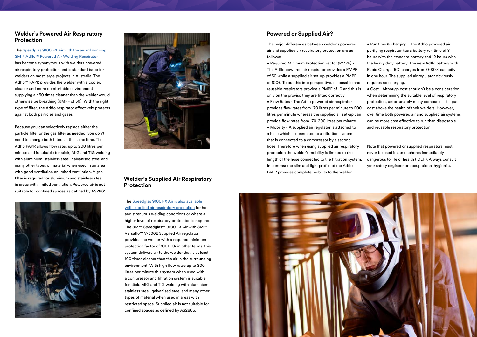### The Speedglas 9100 FX Air with the award winning [3M™ Adflo™ Powered Air Welding Respirator](http://www.awsi.com.au/welding-helmets/3m-speedglas-9100-welding-helmets-with-adflo-powered-air-respirator-papr/3m-speedglas-9100-fx-air-welding-helmet-with-adflo-papr-9100xxi)

has become synonymous with welders powered air respiratory protection and is standard issue for welders on most large projects in Australia. The Adflo<sup>™</sup> PAPR provides the welder with a cooler, cleaner and more comfortable environment supplying air 50 times cleaner than the welder would otherwise be breathing (RMPF of 50). With the right type of filter, the Adflo respirator effectively protects against both particles and gases.

Because you can selectively replace either the particle filter or the gas filter as needed, you don't need to change both filters at the same time. The Adflo PAPR allows flow rates up to 200 litres per minute and is suitable for stick, MIG and TIG welding with aluminium, stainless steel, galvanised steel and many other types of material when used in an area with good ventilation or limited ventilation. A gas filter is required for aluminium and stainless steel in areas with limited ventilation. Powered air is not suitable for confined spaces as defined by AS2865.





# **Welder's Powered Air Respiratory Protection**

The [Speedglas 9100 FX Air is also available](http://www.awsi.com.au/welding-helmets/3m-speedglas-9100-welding-helmets-with-v-500e-supplied-air-respirator-sar/3m-speedglas-9100-fx-air-flip-up-welding-helmet-with-v-500e-sar-9100xxi)  [with supplied air respiratory protection](http://www.awsi.com.au/welding-helmets/3m-speedglas-9100-welding-helmets-with-v-500e-supplied-air-respirator-sar/3m-speedglas-9100-fx-air-flip-up-welding-helmet-with-v-500e-sar-9100xxi) for hot and strenuous welding conditions or where a higher level of respiratory protection is required. The 3M™ Speedglas™ 9100 FX Air with 3M™ Versaflo™ V-500E Supplied Air regulator provides the welder with a required minimum protection factor of 100+. Or in other terms, this system delivers air to the welder that is at least 100 times cleaner than the air in the surrounding environment. With high flow rates up to 300 litres per minute this system when used with a compressor and filtration system is suitable for stick, MIG and TIG welding with aluminium, stainless steel, galvanised steel and many other types of material when used in areas with restricted space. Supplied air is not suitable for confined spaces as defined by AS2865.

# **Welder's Supplied Air Respiratory Protection**

The major differences between welder's powered air and supplied air respiratory protection are as follows:

• Required Minimum Protection Factor (RMPF) - The Adflo powered air respirator provides a RMPF of 50 while a supplied air set-up provides a RMPF of 100+. To put this into perspective, disposable and reusable respirators provide a RMPF of 10 and this is only on the proviso they are fitted correctly.

• Flow Rates - The Adflo powered air respirator provides flow rates from 170 litres per minute to 200 litres per minute whereas the supplied air set-up can provide flow rates from 170-300 litres per minute.

• Mobility - A supplied air regulator is attached to a hose which is connected to a filtration system that is connected to a compressor by a second hose. Therefore when using supplied air respiratory protection the welder's mobility is limited to the length of the hose connected to the filtration system. In contrast the slim and light profile of the Adflo PAPR provides complete mobility to the welder.



• Run time & charging - The Adflo powered air purifying respirator has a battery run time of 8 hours with the standard battery and 12 hours with the heavy duty battery. The new Adflo battery with Rapid Charge (RC) charges from 0-80% capacity in one hour. The supplied air regulator obviously requires no charging.

- Cost Although cost shouldn't be a consideration when determining the suitable level of respiratory protection, unfortunately many companies still put
- cost above the health of their welders. However, over time both powered air and supplied air systems can be more cost effective to run than disposable and reusable respiratory protection.

Note that powered or supplied respirators must never be used in atmospheres immediately

dangerous to life or health (IDLH). Always consult your safety engineer or occupational hygienist.

# **Powered or Supplied Air?**